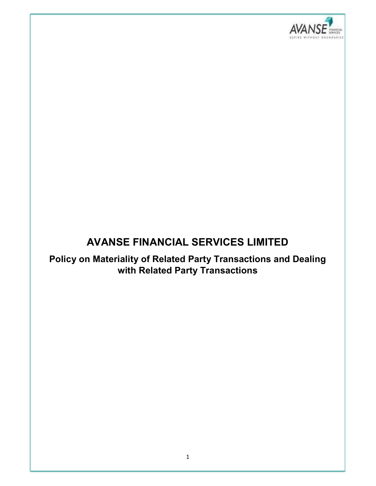

# AVANSE FINANCIAL SERVICES LIMITED

Policy on Materiality of Related Party Transactions and Dealing with Related Party Transactions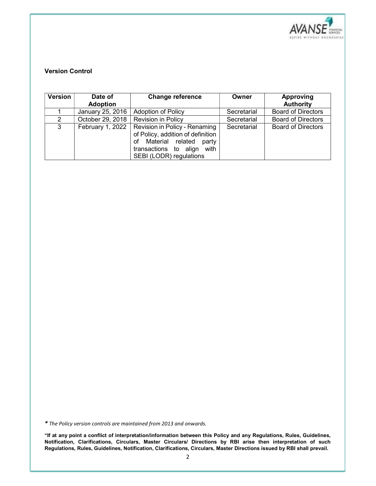

# Version Control

| Version       | Date of<br><b>Adoption</b> | <b>Change reference</b>                                                                                                                                        | Owner       | <b>Approving</b><br><b>Authority</b> |
|---------------|----------------------------|----------------------------------------------------------------------------------------------------------------------------------------------------------------|-------------|--------------------------------------|
|               | January 25, 2016           | <b>Adoption of Policy</b>                                                                                                                                      | Secretarial | <b>Board of Directors</b>            |
| $\mathcal{P}$ | October 29, 2018           | <b>Revision in Policy</b>                                                                                                                                      | Secretarial | <b>Board of Directors</b>            |
| 3             | February 1, 2022           | Revision in Policy - Renaming<br>of Policy, addition of definition<br>Material related<br>of<br>party<br>transactions to align with<br>SEBI (LODR) regulations | Secretarial | <b>Board of Directors</b>            |

\* The Policy version controls are maintained from 2013 and onwards.

"If at any point a conflict of interpretation/information between this Policy and any Regulations, Rules, Guidelines, Notification, Clarifications, Circulars, Master Circulars/ Directions by RBI arise then interpretation of such Regulations, Rules, Guidelines, Notification, Clarifications, Circulars, Master Directions issued by RBI shall prevail.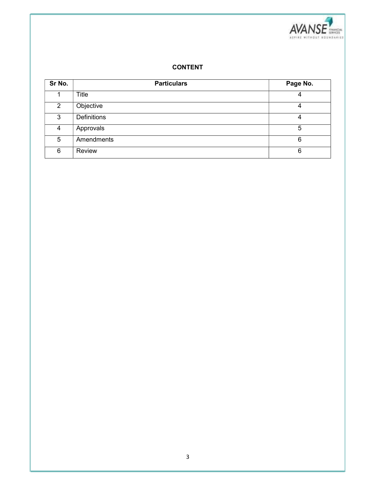

## CONTENT

| Sr No.         | <b>Particulars</b> | Page No. |
|----------------|--------------------|----------|
|                | Title              | 4        |
| $\overline{2}$ | Objective          | 4        |
| 3              | <b>Definitions</b> | 4        |
| 4              | Approvals          | 5        |
| 5              | Amendments         | 6        |
| 6              | Review             | 6        |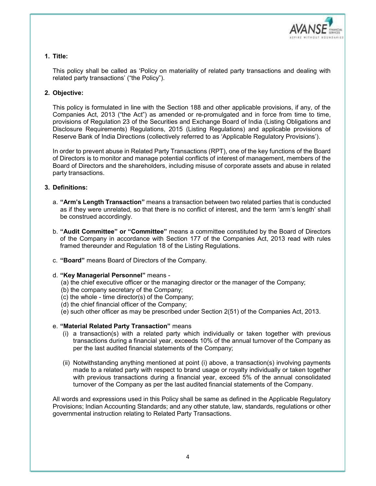

# 1. Title:

This policy shall be called as 'Policy on materiality of related party transactions and dealing with related party transactions' ("the Policy").

#### 2. Objective:

This policy is formulated in line with the Section 188 and other applicable provisions, if any, of the Companies Act, 2013 ("the Act") as amended or re-promulgated and in force from time to time, provisions of Regulation 23 of the Securities and Exchange Board of India (Listing Obligations and Disclosure Requirements) Regulations, 2015 (Listing Regulations) and applicable provisions of Reserve Bank of India Directions (collectively referred to as 'Applicable Regulatory Provisions').

In order to prevent abuse in Related Party Transactions (RPT), one of the key functions of the Board of Directors is to monitor and manage potential conflicts of interest of management, members of the Board of Directors and the shareholders, including misuse of corporate assets and abuse in related party transactions.

#### 3. Definitions:

- a. "Arm's Length Transaction" means a transaction between two related parties that is conducted as if they were unrelated, so that there is no conflict of interest, and the term 'arm's length' shall be construed accordingly.
- b. "Audit Committee" or "Committee" means a committee constituted by the Board of Directors of the Company in accordance with Section 177 of the Companies Act, 2013 read with rules framed thereunder and Regulation 18 of the Listing Regulations.
- c. "Board" means Board of Directors of the Company.
- d. "Key Managerial Personnel" means
	- (a) the chief executive officer or the managing director or the manager of the Company;
	- (b) the company secretary of the Company;
	- (c) the whole time director(s) of the Company;
	- (d) the chief financial officer of the Company;
	- (e) such other officer as may be prescribed under Section 2(51) of the Companies Act, 2013.

#### e. "Material Related Party Transaction" means

- (i) a transaction(s) with a related party which individually or taken together with previous transactions during a financial year, exceeds 10% of the annual turnover of the Company as per the last audited financial statements of the Company;
- (ii) Notwithstanding anything mentioned at point (i) above, a transaction(s) involving payments made to a related party with respect to brand usage or royalty individually or taken together with previous transactions during a financial year, exceed 5% of the annual consolidated turnover of the Company as per the last audited financial statements of the Company.

All words and expressions used in this Policy shall be same as defined in the Applicable Regulatory Provisions; Indian Accounting Standards; and any other statute, law, standards, regulations or other governmental instruction relating to Related Party Transactions.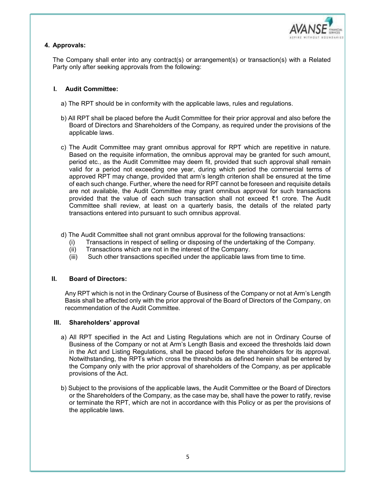

# 4. Approvals:

The Company shall enter into any contract(s) or arrangement(s) or transaction(s) with a Related Party only after seeking approvals from the following:

## I. Audit Committee:

- a) The RPT should be in conformity with the applicable laws, rules and regulations.
- b) All RPT shall be placed before the Audit Committee for their prior approval and also before the Board of Directors and Shareholders of the Company, as required under the provisions of the applicable laws.
- c) The Audit Committee may grant omnibus approval for RPT which are repetitive in nature. Based on the requisite information, the omnibus approval may be granted for such amount, period etc., as the Audit Committee may deem fit, provided that such approval shall remain valid for a period not exceeding one year, during which period the commercial terms of approved RPT may change, provided that arm's length criterion shall be ensured at the time of each such change. Further, where the need for RPT cannot be foreseen and requisite details are not available, the Audit Committee may grant omnibus approval for such transactions provided that the value of each such transaction shall not exceed ₹1 crore. The Audit Committee shall review, at least on a quarterly basis, the details of the related party transactions entered into pursuant to such omnibus approval.
- d) The Audit Committee shall not grant omnibus approval for the following transactions:
	- (i) Transactions in respect of selling or disposing of the undertaking of the Company.
	- (ii) Transactions which are not in the interest of the Company.
	- (iii) Such other transactions specified under the applicable laws from time to time.

#### II. Board of Directors:

Any RPT which is not in the Ordinary Course of Business of the Company or not at Arm's Length Basis shall be affected only with the prior approval of the Board of Directors of the Company, on recommendation of the Audit Committee.

#### III. Shareholders' approval

- a) All RPT specified in the Act and Listing Regulations which are not in Ordinary Course of Business of the Company or not at Arm's Length Basis and exceed the thresholds laid down in the Act and Listing Regulations, shall be placed before the shareholders for its approval. Notwithstanding, the RPTs which cross the thresholds as defined herein shall be entered by the Company only with the prior approval of shareholders of the Company, as per applicable provisions of the Act.
- b) Subject to the provisions of the applicable laws, the Audit Committee or the Board of Directors or the Shareholders of the Company, as the case may be, shall have the power to ratify, revise or terminate the RPT, which are not in accordance with this Policy or as per the provisions of the applicable laws.